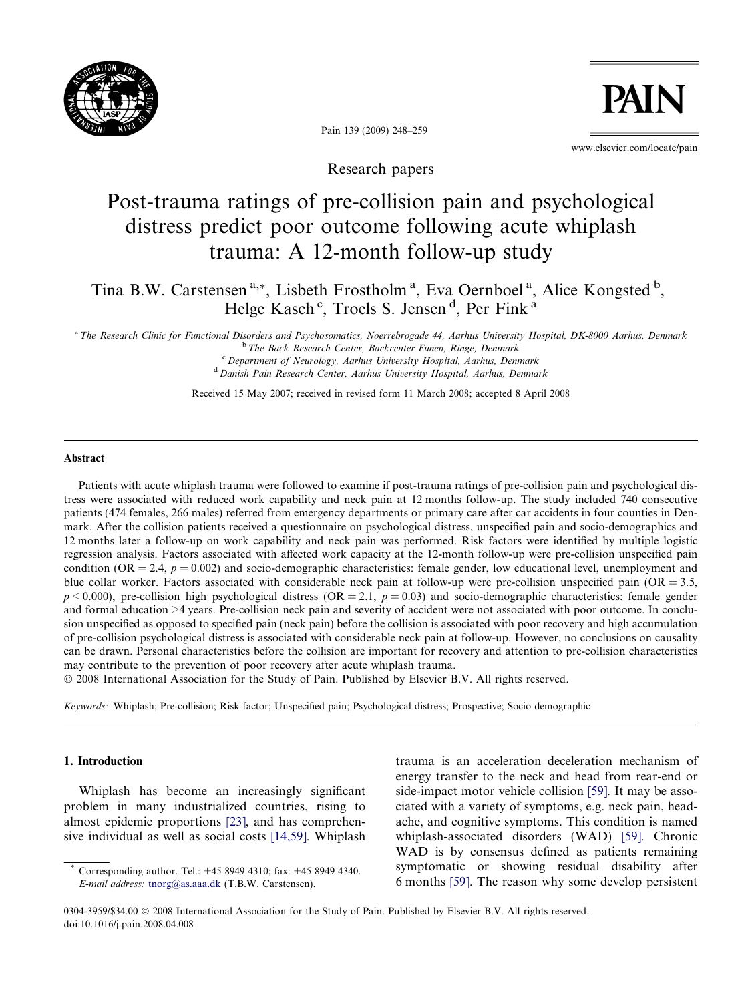

Pain 139 (2009) 248–259

www.elsevier.com/locate/pain

**PAIN** 

Research papers

# Post-trauma ratings of pre-collision pain and psychological distress predict poor outcome following acute whiplash trauma: A 12-month follow-up study

Tina B.W. Carstensen<sup>a,\*</sup>, Lisbeth Frostholm<sup>a</sup>, Eva Oernboel<sup>a</sup>, Alice Kongsted<sup>b</sup>, Helge Kasch<sup>c</sup>, Troels S. Jensen<sup>d</sup>, Per Fink<sup>a</sup>

a The Research Clinic for Functional Disorders and Psychosomatics, Noerrebrogade 44, Aarhus University Hospital, DK-8000 Aarhus, Denmark <sup>b</sup> The Back Research Center, Backcenter Funen, Ringe, Denmark <sup>c</sup> Department of Neurology, Aarhus University Hospital, Aarhus, Denmark <sup>d</sup> Danish Pain Research Center, Aarhus University Hospital, Aarhus, Denmark

Received 15 May 2007; received in revised form 11 March 2008; accepted 8 April 2008

#### Abstract

Patients with acute whiplash trauma were followed to examine if post-trauma ratings of pre-collision pain and psychological distress were associated with reduced work capability and neck pain at 12 months follow-up. The study included 740 consecutive patients (474 females, 266 males) referred from emergency departments or primary care after car accidents in four counties in Denmark. After the collision patients received a questionnaire on psychological distress, unspecified pain and socio-demographics and 12 months later a follow-up on work capability and neck pain was performed. Risk factors were identified by multiple logistic regression analysis. Factors associated with affected work capacity at the 12-month follow-up were pre-collision unspecified pain condition (OR = 2.4,  $p = 0.002$ ) and socio-demographic characteristics: female gender, low educational level, unemployment and blue collar worker. Factors associated with considerable neck pain at follow-up were pre-collision unspecified pain  $(OR = 3.5,$  $p < 0.000$ ), pre-collision high psychological distress (OR = 2.1,  $p = 0.03$ ) and socio-demographic characteristics: female gender and formal education >4 years. Pre-collision neck pain and severity of accident were not associated with poor outcome. In conclusion unspecified as opposed to specified pain (neck pain) before the collision is associated with poor recovery and high accumulation of pre-collision psychological distress is associated with considerable neck pain at follow-up. However, no conclusions on causality can be drawn. Personal characteristics before the collision are important for recovery and attention to pre-collision characteristics may contribute to the prevention of poor recovery after acute whiplash trauma.

- 2008 International Association for the Study of Pain. Published by Elsevier B.V. All rights reserved.

Keywords: Whiplash; Pre-collision; Risk factor; Unspecified pain; Psychological distress; Prospective; Socio demographic

### 1. Introduction

Whiplash has become an increasingly significant problem in many industrialized countries, rising to almost epidemic proportions [\[23\],](#page--1-0) and has comprehensive individual as well as social costs [\[14,59\].](#page--1-0) Whiplash trauma is an acceleration–deceleration mechanism of energy transfer to the neck and head from rear-end or side-impact motor vehicle collision [\[59\]](#page--1-0). It may be associated with a variety of symptoms, e.g. neck pain, headache, and cognitive symptoms. This condition is named whiplash-associated disorders (WAD) [\[59\].](#page--1-0) Chronic WAD is by consensus defined as patients remaining symptomatic or showing residual disability after 6 months [\[59\].](#page--1-0) The reason why some develop persistent

Corresponding author. Tel.: +45 8949 4310; fax: +45 8949 4340. E-mail address: [tnorg@as.aaa.dk](mailto:tnorg@as.aaa.dk) (T.B.W. Carstensen).

<sup>0304-3959/\$34.00</sup>  $\odot$  2008 International Association for the Study of Pain. Published by Elsevier B.V. All rights reserved. doi:10.1016/j.pain.2008.04.008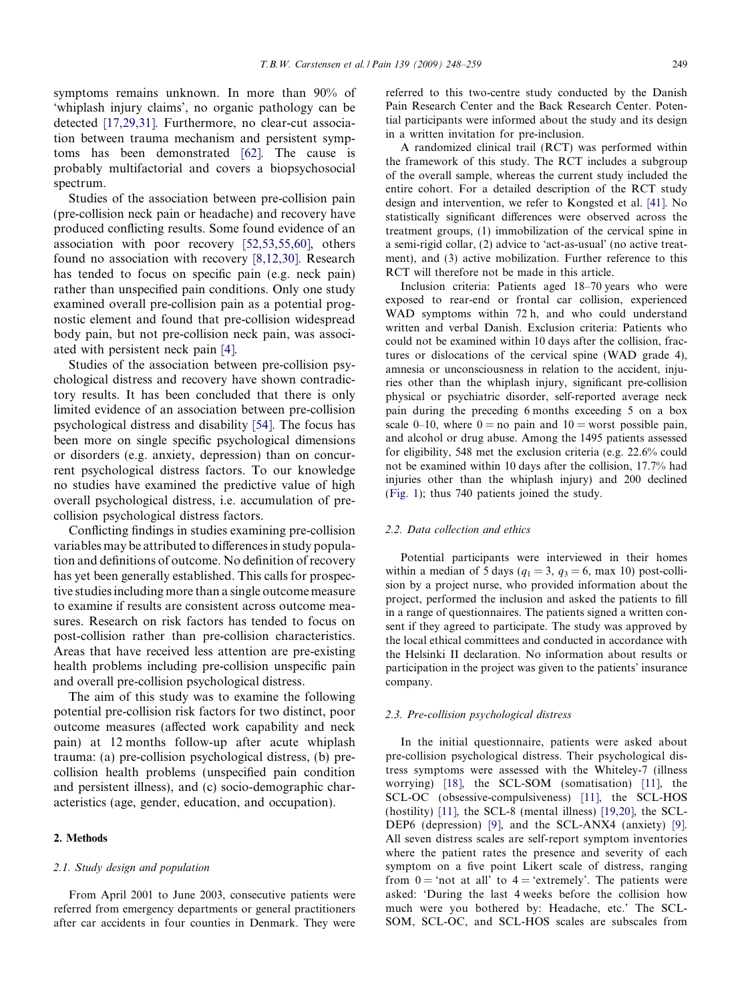symptoms remains unknown. In more than 90% of 'whiplash injury claims', no organic pathology can be detected [\[17,29,31\].](#page--1-0) Furthermore, no clear-cut association between trauma mechanism and persistent symptoms has been demonstrated [\[62\]](#page--1-0). The cause is probably multifactorial and covers a biopsychosocial spectrum.

Studies of the association between pre-collision pain (pre-collision neck pain or headache) and recovery have produced conflicting results. Some found evidence of an association with poor recovery [\[52,53,55,60\],](#page--1-0) others found no association with recovery [\[8,12,30\]](#page--1-0). Research has tended to focus on specific pain (e.g. neck pain) rather than unspecified pain conditions. Only one study examined overall pre-collision pain as a potential prognostic element and found that pre-collision widespread body pain, but not pre-collision neck pain, was associated with persistent neck pain [\[4\].](#page--1-0)

Studies of the association between pre-collision psychological distress and recovery have shown contradictory results. It has been concluded that there is only limited evidence of an association between pre-collision psychological distress and disability [\[54\]](#page--1-0). The focus has been more on single specific psychological dimensions or disorders (e.g. anxiety, depression) than on concurrent psychological distress factors. To our knowledge no studies have examined the predictive value of high overall psychological distress, i.e. accumulation of precollision psychological distress factors.

Conflicting findings in studies examining pre-collision variables may be attributed to differences in study population and definitions of outcome. No definition of recovery has yet been generally established. This calls for prospective studies including more than a single outcome measure to examine if results are consistent across outcome measures. Research on risk factors has tended to focus on post-collision rather than pre-collision characteristics. Areas that have received less attention are pre-existing health problems including pre-collision unspecific pain and overall pre-collision psychological distress.

The aim of this study was to examine the following potential pre-collision risk factors for two distinct, poor outcome measures (affected work capability and neck pain) at 12 months follow-up after acute whiplash trauma: (a) pre-collision psychological distress, (b) precollision health problems (unspecified pain condition and persistent illness), and (c) socio-demographic characteristics (age, gender, education, and occupation).

## 2. Methods

#### 2.1. Study design and population

From April 2001 to June 2003, consecutive patients were referred from emergency departments or general practitioners after car accidents in four counties in Denmark. They were referred to this two-centre study conducted by the Danish Pain Research Center and the Back Research Center. Potential participants were informed about the study and its design in a written invitation for pre-inclusion.

A randomized clinical trail (RCT) was performed within the framework of this study. The RCT includes a subgroup of the overall sample, whereas the current study included the entire cohort. For a detailed description of the RCT study design and intervention, we refer to Kongsted et al. [\[41\].](#page--1-0) No statistically significant differences were observed across the treatment groups, (1) immobilization of the cervical spine in a semi-rigid collar, (2) advice to 'act-as-usual' (no active treatment), and (3) active mobilization. Further reference to this RCT will therefore not be made in this article.

Inclusion criteria: Patients aged 18–70 years who were exposed to rear-end or frontal car collision, experienced WAD symptoms within 72 h, and who could understand written and verbal Danish. Exclusion criteria: Patients who could not be examined within 10 days after the collision, fractures or dislocations of the cervical spine (WAD grade 4), amnesia or unconsciousness in relation to the accident, injuries other than the whiplash injury, significant pre-collision physical or psychiatric disorder, self-reported average neck pain during the preceding 6 months exceeding 5 on a box scale 0–10, where  $0 =$  no pain and  $10 =$  worst possible pain, and alcohol or drug abuse. Among the 1495 patients assessed for eligibility, 548 met the exclusion criteria (e.g. 22.6% could not be examined within 10 days after the collision, 17.7% had injuries other than the whiplash injury) and 200 declined ([Fig. 1\)](#page--1-0); thus 740 patients joined the study.

#### 2.2. Data collection and ethics

Potential participants were interviewed in their homes within a median of 5 days ( $q_1 = 3$ ,  $q_3 = 6$ , max 10) post-collision by a project nurse, who provided information about the project, performed the inclusion and asked the patients to fill in a range of questionnaires. The patients signed a written consent if they agreed to participate. The study was approved by the local ethical committees and conducted in accordance with the Helsinki II declaration. No information about results or participation in the project was given to the patients' insurance company.

#### 2.3. Pre-collision psychological distress

In the initial questionnaire, patients were asked about pre-collision psychological distress. Their psychological distress symptoms were assessed with the Whiteley-7 (illness worrying) [\[18\],](#page--1-0) the SCL-SOM (somatisation) [\[11\],](#page--1-0) the SCL-OC (obsessive-compulsiveness) [\[11\]](#page--1-0), the SCL-HOS (hostility) [\[11\]](#page--1-0), the SCL-8 (mental illness) [\[19,20\]](#page--1-0), the SCL-DEP6 (depression) [\[9\]](#page--1-0), and the SCL-ANX4 (anxiety) [\[9\]](#page--1-0). All seven distress scales are self-report symptom inventories where the patient rates the presence and severity of each symptom on a five point Likert scale of distress, ranging from  $0 = \text{`not at all' to } 4 = \text{`extremely'.}$  The patients were asked: 'During the last 4 weeks before the collision how much were you bothered by: Headache, etc.' The SCL-SOM, SCL-OC, and SCL-HOS scales are subscales from